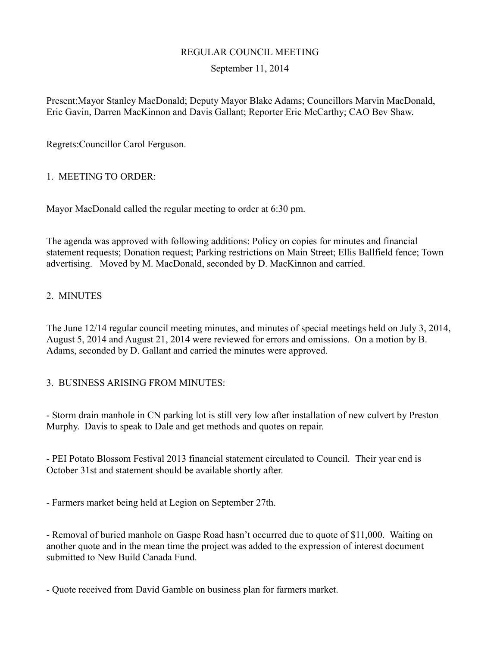# REGULAR COUNCIL MEETING

# September 11, 2014

Present:Mayor Stanley MacDonald; Deputy Mayor Blake Adams; Councillors Marvin MacDonald, Eric Gavin, Darren MacKinnon and Davis Gallant; Reporter Eric McCarthy; CAO Bev Shaw.

Regrets:Councillor Carol Ferguson.

## 1. MEETING TO ORDER:

Mayor MacDonald called the regular meeting to order at 6:30 pm.

The agenda was approved with following additions: Policy on copies for minutes and financial statement requests; Donation request; Parking restrictions on Main Street; Ellis Ballfield fence; Town advertising. Moved by M. MacDonald, seconded by D. MacKinnon and carried.

# 2. MINUTES

The June 12/14 regular council meeting minutes, and minutes of special meetings held on July 3, 2014, August 5, 2014 and August 21, 2014 were reviewed for errors and omissions. On a motion by B. Adams, seconded by D. Gallant and carried the minutes were approved.

## 3. BUSINESS ARISING FROM MINUTES:

- Storm drain manhole in CN parking lot is still very low after installation of new culvert by Preston Murphy. Davis to speak to Dale and get methods and quotes on repair.

- PEI Potato Blossom Festival 2013 financial statement circulated to Council. Their year end is October 31st and statement should be available shortly after.

- Farmers market being held at Legion on September 27th.

- Removal of buried manhole on Gaspe Road hasn't occurred due to quote of \$11,000. Waiting on another quote and in the mean time the project was added to the expression of interest document submitted to New Build Canada Fund.

- Quote received from David Gamble on business plan for farmers market.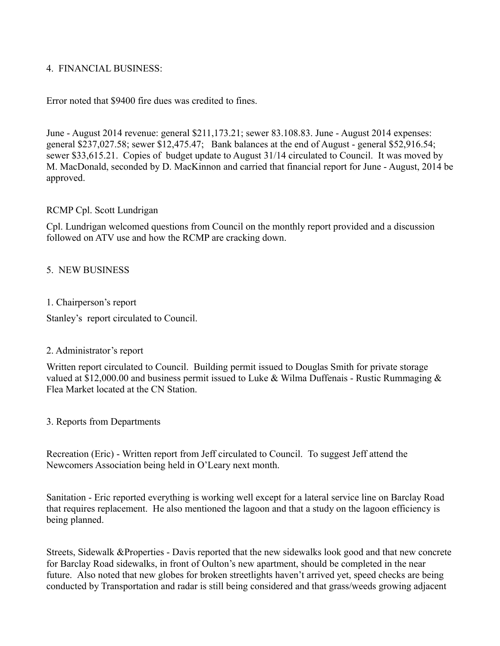# 4. FINANCIAL BUSINESS:

Error noted that \$9400 fire dues was credited to fines.

June - August 2014 revenue: general \$211,173.21; sewer 83.108.83. June - August 2014 expenses: general \$237,027.58; sewer \$12,475.47; Bank balances at the end of August - general \$52,916.54; sewer \$33,615.21. Copies of budget update to August 31/14 circulated to Council. It was moved by M. MacDonald, seconded by D. MacKinnon and carried that financial report for June - August, 2014 be approved.

#### RCMP Cpl. Scott Lundrigan

Cpl. Lundrigan welcomed questions from Council on the monthly report provided and a discussion followed on ATV use and how the RCMP are cracking down.

#### 5. NEW BUSINESS

#### 1. Chairperson's report

Stanley's report circulated to Council.

## 2. Administrator's report

Written report circulated to Council. Building permit issued to Douglas Smith for private storage valued at \$12,000.00 and business permit issued to Luke & Wilma Duffenais - Rustic Rummaging  $\&$ Flea Market located at the CN Station.

3. Reports from Departments

Recreation (Eric) - Written report from Jeff circulated to Council. To suggest Jeff attend the Newcomers Association being held in O'Leary next month.

Sanitation - Eric reported everything is working well except for a lateral service line on Barclay Road that requires replacement. He also mentioned the lagoon and that a study on the lagoon efficiency is being planned.

Streets, Sidewalk &Properties - Davis reported that the new sidewalks look good and that new concrete for Barclay Road sidewalks, in front of Oulton's new apartment, should be completed in the near future. Also noted that new globes for broken streetlights haven't arrived yet, speed checks are being conducted by Transportation and radar is still being considered and that grass/weeds growing adjacent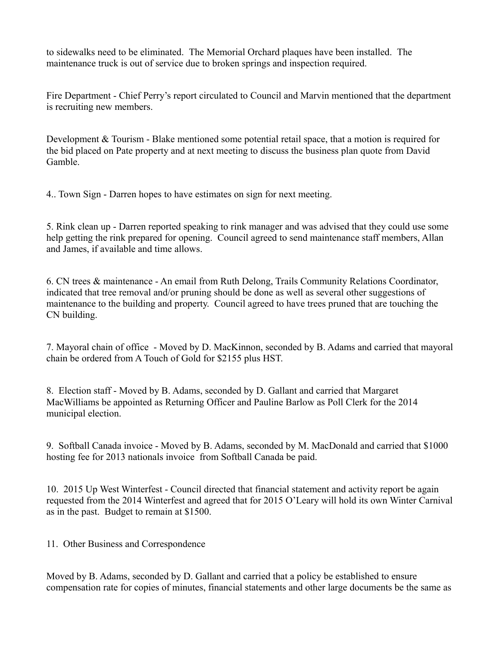to sidewalks need to be eliminated. The Memorial Orchard plaques have been installed. The maintenance truck is out of service due to broken springs and inspection required.

Fire Department - Chief Perry's report circulated to Council and Marvin mentioned that the department is recruiting new members.

Development & Tourism - Blake mentioned some potential retail space, that a motion is required for the bid placed on Pate property and at next meeting to discuss the business plan quote from David Gamble.

4.. Town Sign - Darren hopes to have estimates on sign for next meeting.

5. Rink clean up - Darren reported speaking to rink manager and was advised that they could use some help getting the rink prepared for opening. Council agreed to send maintenance staff members, Allan and James, if available and time allows.

6. CN trees & maintenance - An email from Ruth Delong, Trails Community Relations Coordinator, indicated that tree removal and/or pruning should be done as well as several other suggestions of maintenance to the building and property. Council agreed to have trees pruned that are touching the CN building.

7. Mayoral chain of office - Moved by D. MacKinnon, seconded by B. Adams and carried that mayoral chain be ordered from A Touch of Gold for \$2155 plus HST.

8. Election staff - Moved by B. Adams, seconded by D. Gallant and carried that Margaret MacWilliams be appointed as Returning Officer and Pauline Barlow as Poll Clerk for the 2014 municipal election.

9. Softball Canada invoice - Moved by B. Adams, seconded by M. MacDonald and carried that \$1000 hosting fee for 2013 nationals invoice from Softball Canada be paid.

10. 2015 Up West Winterfest - Council directed that financial statement and activity report be again requested from the 2014 Winterfest and agreed that for 2015 O'Leary will hold its own Winter Carnival as in the past. Budget to remain at \$1500.

## 11. Other Business and Correspondence

Moved by B. Adams, seconded by D. Gallant and carried that a policy be established to ensure compensation rate for copies of minutes, financial statements and other large documents be the same as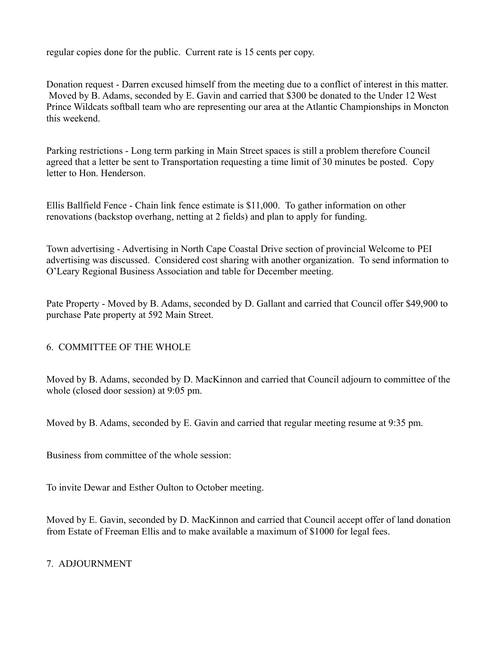regular copies done for the public. Current rate is 15 cents per copy.

Donation request - Darren excused himself from the meeting due to a conflict of interest in this matter. Moved by B. Adams, seconded by E. Gavin and carried that \$300 be donated to the Under 12 West Prince Wildcats softball team who are representing our area at the Atlantic Championships in Moncton this weekend.

Parking restrictions - Long term parking in Main Street spaces is still a problem therefore Council agreed that a letter be sent to Transportation requesting a time limit of 30 minutes be posted. Copy letter to Hon. Henderson.

Ellis Ballfield Fence - Chain link fence estimate is \$11,000. To gather information on other renovations (backstop overhang, netting at 2 fields) and plan to apply for funding.

Town advertising - Advertising in North Cape Coastal Drive section of provincial Welcome to PEI advertising was discussed. Considered cost sharing with another organization. To send information to O'Leary Regional Business Association and table for December meeting.

Pate Property - Moved by B. Adams, seconded by D. Gallant and carried that Council offer \$49,900 to purchase Pate property at 592 Main Street.

6. COMMITTEE OF THE WHOLE

Moved by B. Adams, seconded by D. MacKinnon and carried that Council adjourn to committee of the whole (closed door session) at 9:05 pm.

Moved by B. Adams, seconded by E. Gavin and carried that regular meeting resume at 9:35 pm.

Business from committee of the whole session:

To invite Dewar and Esther Oulton to October meeting.

Moved by E. Gavin, seconded by D. MacKinnon and carried that Council accept offer of land donation from Estate of Freeman Ellis and to make available a maximum of \$1000 for legal fees.

# 7. ADJOURNMENT